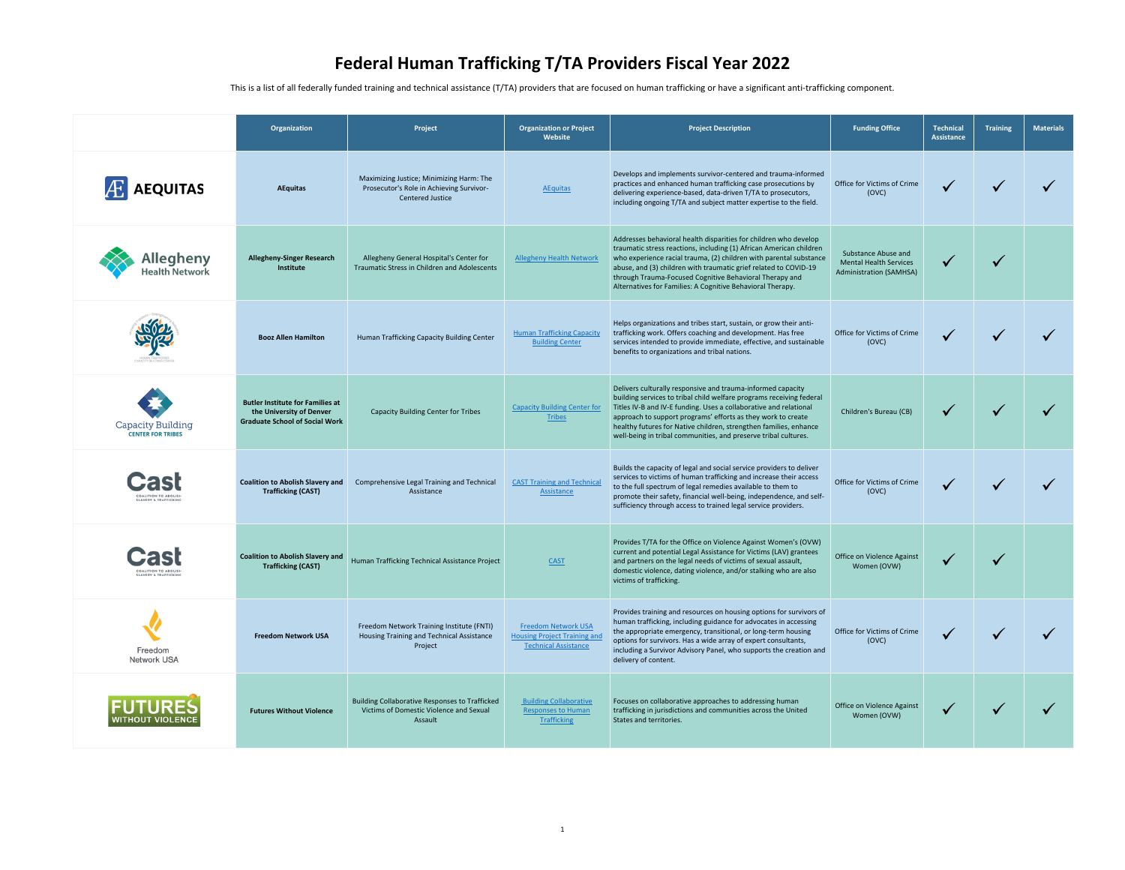This is a list of all federally funded training and technical assistance (T/TA) providers that are focused on human trafficking or have a significant anti-trafficking component.

|                                               | Organization                                                                                                 | Project                                                                                                         | <b>Organization or Project</b><br>Website                                                       | <b>Project Description</b>                                                                                                                                                                                                                                                                                                                                                                                       | <b>Funding Office</b>                                                                  | <b>Technical</b><br><b>Assistance</b> | <b>Training</b> | <b>Materials</b> |
|-----------------------------------------------|--------------------------------------------------------------------------------------------------------------|-----------------------------------------------------------------------------------------------------------------|-------------------------------------------------------------------------------------------------|------------------------------------------------------------------------------------------------------------------------------------------------------------------------------------------------------------------------------------------------------------------------------------------------------------------------------------------------------------------------------------------------------------------|----------------------------------------------------------------------------------------|---------------------------------------|-----------------|------------------|
| <b>AEQUITAS</b>                               | <b>AEquitas</b>                                                                                              | Maximizing Justice; Minimizing Harm: The<br>Prosecutor's Role in Achieving Survivor-<br><b>Centered Justice</b> | <b>AEquitas</b>                                                                                 | Develops and implements survivor-centered and trauma-informed<br>practices and enhanced human trafficking case prosecutions by<br>delivering experience-based, data-driven T/TA to prosecutors,<br>including ongoing T/TA and subject matter expertise to the field.                                                                                                                                             | Office for Victims of Crime<br>(OVC)                                                   | $\checkmark$                          |                 |                  |
| llegheny<br><b>Health Network</b>             | <b>Allegheny-Singer Research</b><br>Institute                                                                | Allegheny General Hospital's Center for<br><b>Traumatic Stress in Children and Adolescents</b>                  | <b>Allegheny Health Network</b>                                                                 | Addresses behavioral health disparities for children who develop<br>traumatic stress reactions, including (1) African American children<br>who experience racial trauma, (2) children with parental substance<br>abuse, and (3) children with traumatic grief related to COVID-19<br>through Trauma-Focused Cognitive Behavioral Therapy and<br>Alternatives for Families: A Cognitive Behavioral Therapy.       | Substance Abuse and<br><b>Mental Health Services</b><br><b>Administration (SAMHSA)</b> |                                       | $\checkmark$    |                  |
| human trafficking<br>apacity Building cente   | <b>Booz Allen Hamilton</b>                                                                                   | Human Trafficking Capacity Building Center                                                                      | <b>Human Trafficking Capacity</b><br><b>Building Center</b>                                     | Helps organizations and tribes start, sustain, or grow their anti-<br>trafficking work. Offers coaching and development. Has free<br>services intended to provide immediate, effective, and sustainable<br>benefits to organizations and tribal nations.                                                                                                                                                         | Office for Victims of Crime<br>(OVC)                                                   |                                       |                 |                  |
| Capacity Building<br><b>CENTER FOR TRIBES</b> | <b>Butler Institute for Families at</b><br>the University of Denver<br><b>Graduate School of Social Work</b> | <b>Capacity Building Center for Tribes</b>                                                                      | <b>Capacity Building Center for</b><br>Tribes                                                   | Delivers culturally responsive and trauma-informed capacity<br>building services to tribal child welfare programs receiving federal<br>Titles IV-B and IV-E funding. Uses a collaborative and relational<br>approach to support programs' efforts as they work to create<br>healthy futures for Native children, strengthen families, enhance<br>well-being in tribal communities, and preserve tribal cultures. | Children's Bureau (CB)                                                                 |                                       |                 |                  |
| <b>SLAVERY &amp; TRAFFICKING</b>              | <b>Coalition to Abolish Slavery and</b><br><b>Trafficking (CAST)</b>                                         | Comprehensive Legal Training and Technical<br>Assistance                                                        | <b>CAST Training and Technica</b><br>Assistance                                                 | Builds the capacity of legal and social service providers to deliver<br>services to victims of human trafficking and increase their access<br>to the full spectrum of legal remedies available to them to<br>promote their safety, financial well-being, independence, and self-<br>sufficiency through access to trained legal service providers.                                                               | Office for Victims of Crime<br>(OVC)                                                   |                                       |                 |                  |
| LAVERY & TRAFFICKING                          | <b>Coalition to Abolish Slavery and</b><br><b>Trafficking (CAST)</b>                                         | Human Trafficking Technical Assistance Project                                                                  | <b>CAST</b>                                                                                     | Provides T/TA for the Office on Violence Against Women's (OVW)<br>current and potential Legal Assistance for Victims (LAV) grantees<br>and partners on the legal needs of victims of sexual assault,<br>domestic violence, dating violence, and/or stalking who are also<br>victims of trafficking.                                                                                                              | Office on Violence Against<br>Women (OVW)                                              |                                       |                 |                  |
| Freedom<br><b>Network USA</b>                 | <b>Freedom Network USA</b>                                                                                   | Freedom Network Training Institute (FNTI)<br>Housing Training and Technical Assistance<br>Project               | <b>Freedom Network USA</b><br><b>Housing Project Training an</b><br><b>Technical Assistance</b> | Provides training and resources on housing options for survivors of<br>human trafficking, including guidance for advocates in accessing<br>the appropriate emergency, transitional, or long-term housing<br>options for survivors. Has a wide array of expert consultants,<br>including a Survivor Advisory Panel, who supports the creation and<br>delivery of content.                                         | Office for Victims of Crime<br>(OVC)                                                   | $\checkmark$                          |                 |                  |
| <b>NITHOUT VIOLENCE</b>                       | <b>Futures Without Violence</b>                                                                              | <b>Building Collaborative Responses to Trafficked</b><br>Victims of Domestic Violence and Sexual<br>Assault     | <b>Building Collaborative</b><br><b>Responses to Human</b><br>Trafficking                       | Focuses on collaborative approaches to addressing human<br>trafficking in jurisdictions and communities across the United<br>States and territories.                                                                                                                                                                                                                                                             | Office on Violence Against<br>Women (OVW)                                              | $\checkmark$                          |                 |                  |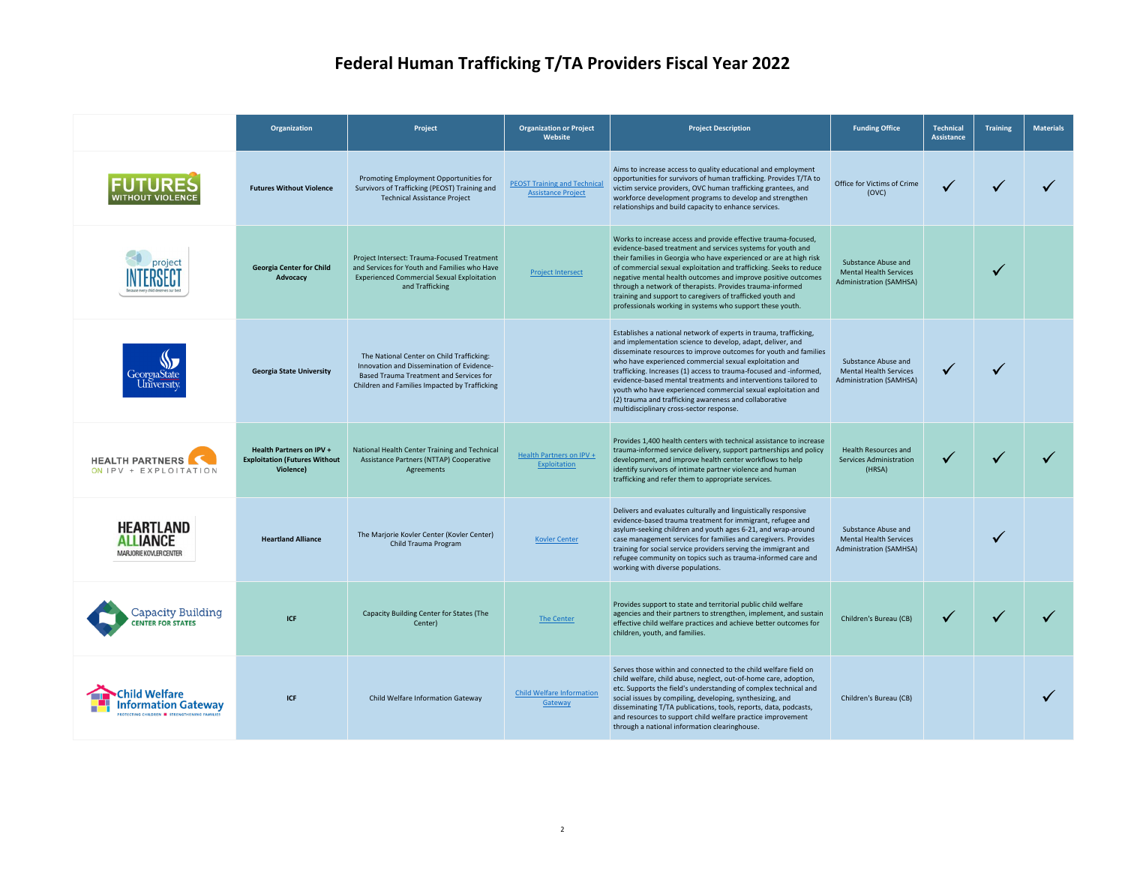|                                                        | Organization                                                                         | Project                                                                                                                                                                                   | <b>Organization or Project</b><br>Website                       | <b>Project Description</b>                                                                                                                                                                                                                                                                                                                                                                                                                                                                                                                                                    | <b>Funding Office</b>                                                                         | <b>Technical</b><br>Assistance | <b>Training</b> | <b>Materials</b> |
|--------------------------------------------------------|--------------------------------------------------------------------------------------|-------------------------------------------------------------------------------------------------------------------------------------------------------------------------------------------|-----------------------------------------------------------------|-------------------------------------------------------------------------------------------------------------------------------------------------------------------------------------------------------------------------------------------------------------------------------------------------------------------------------------------------------------------------------------------------------------------------------------------------------------------------------------------------------------------------------------------------------------------------------|-----------------------------------------------------------------------------------------------|--------------------------------|-----------------|------------------|
|                                                        | <b>Futures Without Violence</b>                                                      | Promoting Employment Opportunities for<br>Survivors of Trafficking (PEOST) Training and<br><b>Technical Assistance Project</b>                                                            | <b>PEOST Training and Technica</b><br><b>Assistance Project</b> | Aims to increase access to quality educational and employment<br>opportunities for survivors of human trafficking. Provides T/TA to<br>victim service providers, OVC human trafficking grantees, and<br>workforce development programs to develop and strengthen<br>relationships and build capacity to enhance services.                                                                                                                                                                                                                                                     | Office for Victims of Crime<br>(OVC)                                                          | $\checkmark$                   |                 |                  |
| cause every child deserves our be                      | <b>Georgia Center for Child</b><br>Advocacy                                          | Project Intersect: Trauma-Focused Treatment<br>and Services for Youth and Families who Have<br><b>Experienced Commercial Sexual Exploitation</b><br>and Trafficking                       | <b>Project Intersect</b>                                        | Works to increase access and provide effective trauma-focused,<br>evidence-based treatment and services systems for youth and<br>their families in Georgia who have experienced or are at high risk<br>of commercial sexual exploitation and trafficking. Seeks to reduce<br>negative mental health outcomes and improve positive outcomes<br>through a network of therapists. Provides trauma-informed<br>training and support to caregivers of trafficked youth and<br>professionals working in systems who support these youth.                                            | <b>Substance Abuse and</b><br><b>Mental Health Services</b><br><b>Administration (SAMHSA)</b> |                                |                 |                  |
| GeorgiaState<br>University                             | <b>Georgia State University</b>                                                      | The National Center on Child Trafficking:<br>Innovation and Dissemination of Evidence-<br><b>Based Trauma Treatment and Services for</b><br>Children and Families Impacted by Trafficking |                                                                 | Establishes a national network of experts in trauma, trafficking,<br>and implementation science to develop, adapt, deliver, and<br>disseminate resources to improve outcomes for youth and families<br>who have experienced commercial sexual exploitation and<br>trafficking. Increases (1) access to trauma-focused and -informed,<br>evidence-based mental treatments and interventions tailored to<br>youth who have experienced commercial sexual exploitation and<br>(2) trauma and trafficking awareness and collaborative<br>multidisciplinary cross-sector response. | Substance Abuse and<br><b>Mental Health Services</b><br><b>Administration (SAMHSA)</b>        |                                |                 |                  |
| <b>HEALTH PARTNERS</b><br>ON IPV + EXPLOITATION        | <b>Health Partners on IPV +</b><br><b>Exploitation (Futures Without</b><br>Violence) | National Health Center Training and Technical<br>Assistance Partners (NTTAP) Cooperative<br>Agreements                                                                                    | Health Partners on IPV +<br>Exploitation                        | Provides 1,400 health centers with technical assistance to increase<br>trauma-informed service delivery, support partnerships and policy<br>development, and improve health center workflows to help<br>identify survivors of intimate partner violence and human<br>trafficking and refer them to appropriate services.                                                                                                                                                                                                                                                      | Health Resources and<br><b>Services Administration</b><br>(HRSA)                              |                                |                 |                  |
| HEARTLAND<br><b>ALLIANCE</b><br>MARJORIE KOVLER CENTER | <b>Heartland Alliance</b>                                                            | The Marjorie Kovler Center (Kovler Center)<br>Child Trauma Program                                                                                                                        | <b>Kovler Center</b>                                            | Delivers and evaluates culturally and linguistically responsive<br>evidence-based trauma treatment for immigrant, refugee and<br>asylum-seeking children and youth ages 6-21, and wrap-around<br>case management services for families and caregivers. Provides<br>training for social service providers serving the immigrant and<br>refugee community on topics such as trauma-informed care and<br>working with diverse populations.                                                                                                                                       | Substance Abuse and<br><b>Mental Health Services</b><br><b>Administration (SAMHSA)</b>        |                                |                 |                  |
| Capacity Building<br><b>ENTER FOR STATES</b>           | <b>ICF</b>                                                                           | <b>Capacity Building Center for States (The</b><br>Center)                                                                                                                                | The Center                                                      | Provides support to state and territorial public child welfare<br>agencies and their partners to strengthen, implement, and sustain<br>effective child welfare practices and achieve better outcomes for<br>children, youth, and families.                                                                                                                                                                                                                                                                                                                                    | Children's Bureau (CB)                                                                        |                                |                 |                  |
|                                                        | <b>ICF</b>                                                                           | Child Welfare Information Gateway                                                                                                                                                         | <b>Child Welfare Information</b><br>Gateway                     | Serves those within and connected to the child welfare field on<br>child welfare, child abuse, neglect, out-of-home care, adoption,<br>etc. Supports the field's understanding of complex technical and<br>social issues by compiling, developing, synthesizing, and<br>disseminating T/TA publications, tools, reports, data, podcasts,<br>and resources to support child welfare practice improvement<br>through a national information clearinghouse.                                                                                                                      | Children's Bureau (CB)                                                                        |                                |                 |                  |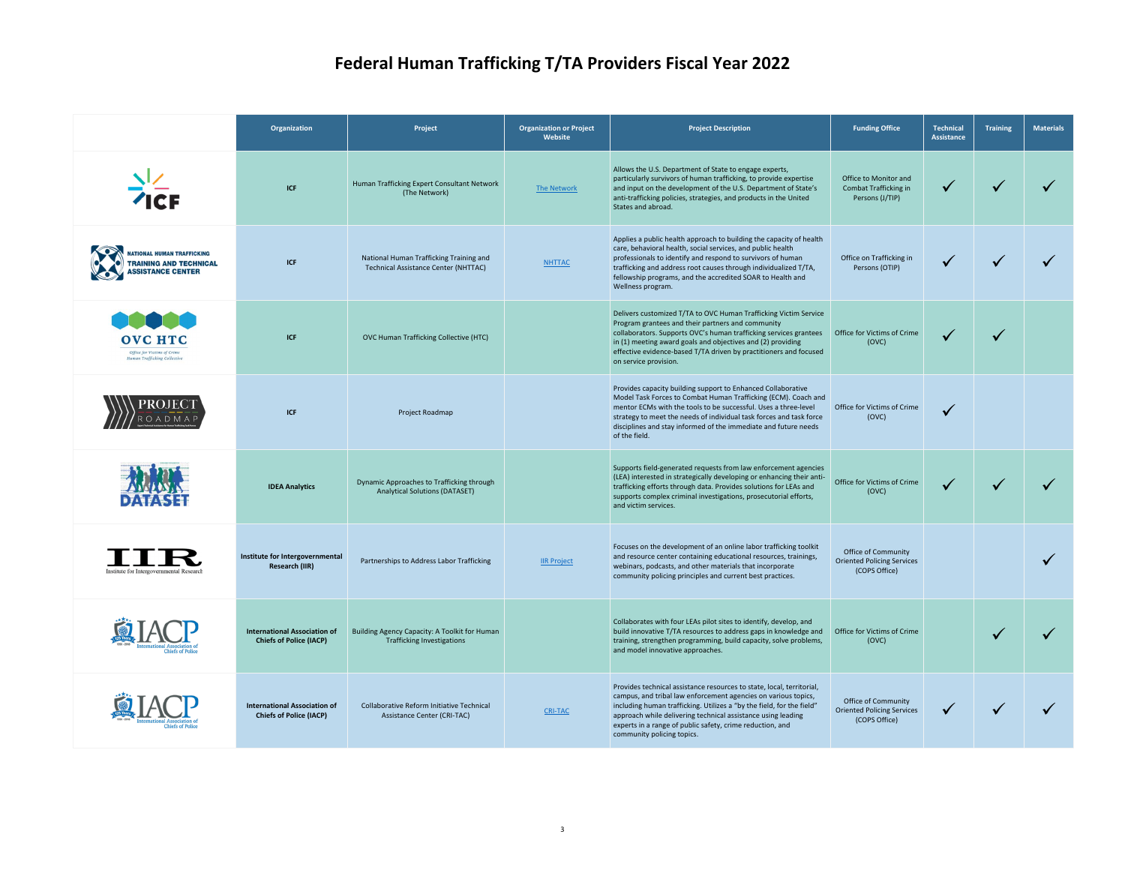|                                                                                              | Organization                                                          | Project                                                                                | <b>Organization or Project</b><br>Website | <b>Project Description</b>                                                                                                                                                                                                                                                                                                                                                  | <b>Funding Office</b>                                                            | <b>Technical</b><br><b>Assistance</b> | <b>Training</b> | <b>Materials</b> |
|----------------------------------------------------------------------------------------------|-----------------------------------------------------------------------|----------------------------------------------------------------------------------------|-------------------------------------------|-----------------------------------------------------------------------------------------------------------------------------------------------------------------------------------------------------------------------------------------------------------------------------------------------------------------------------------------------------------------------------|----------------------------------------------------------------------------------|---------------------------------------|-----------------|------------------|
| <b>ICF</b>                                                                                   | <b>ICF</b>                                                            | Human Trafficking Expert Consultant Network<br>(The Network)                           | The Network                               | Allows the U.S. Department of State to engage experts,<br>particularly survivors of human trafficking, to provide expertise<br>and input on the development of the U.S. Department of State's<br>anti-trafficking policies, strategies, and products in the United<br>States and abroad.                                                                                    | Office to Monitor and<br>Combat Trafficking in<br>Persons (J/TIP)                | $\checkmark$                          |                 |                  |
| <b>ATIONAL HUMAN TRAFFICKING</b><br><b>TRAINING AND TECHNICAL</b><br><b>SSISTANCE CENTER</b> | <b>ICF</b>                                                            | National Human Trafficking Training and<br><b>Technical Assistance Center (NHTTAC)</b> | <b>NHTTAC</b>                             | Applies a public health approach to building the capacity of health<br>care, behavioral health, social services, and public health<br>professionals to identify and respond to survivors of human<br>trafficking and address root causes through individualized T/TA,<br>fellowship programs, and the accredited SOAR to Health and<br>Wellness program.                    | Office on Trafficking in<br>Persons (OTIP)                                       |                                       |                 |                  |
| <b>OVC HTC</b><br>Office for Victims of Crime<br>Human Trafficking Collective                | <b>ICF</b>                                                            | <b>OVC Human Trafficking Collective (HTC)</b>                                          |                                           | Delivers customized T/TA to OVC Human Trafficking Victim Service<br>Program grantees and their partners and community<br>collaborators. Supports OVC's human trafficking services grantees<br>in (1) meeting award goals and objectives and (2) providing<br>effective evidence-based T/TA driven by practitioners and focused<br>on service provision.                     | Office for Victims of Crime<br>(OVC)                                             |                                       |                 |                  |
|                                                                                              | <b>ICF</b>                                                            | Project Roadmap                                                                        |                                           | Provides capacity building support to Enhanced Collaborative<br>Model Task Forces to Combat Human Trafficking (ECM). Coach and<br>mentor ECMs with the tools to be successful. Uses a three-level<br>strategy to meet the needs of individual task forces and task force<br>disciplines and stay informed of the immediate and future needs<br>of the field.                | Office for Victims of Crime<br>(OVC)                                             | $\checkmark$                          |                 |                  |
|                                                                                              | <b>IDEA Analytics</b>                                                 | Dynamic Approaches to Trafficking through<br><b>Analytical Solutions (DATASET)</b>     |                                           | Supports field-generated requests from law enforcement agencies<br>(LEA) interested in strategically developing or enhancing their anti-<br>trafficking efforts through data. Provides solutions for LEAs and<br>supports complex criminal investigations, prosecutorial efforts,<br>and victim services.                                                                   | Office for Victims of Crime<br>(OVC)                                             |                                       |                 |                  |
| Institute for Intergovernmental Research                                                     | Institute for Intergovernmental<br><b>Research (IIR)</b>              | Partnerships to Address Labor Trafficking                                              | <b>IIR Project</b>                        | Focuses on the development of an online labor trafficking toolkit<br>and resource center containing educational resources, trainings,<br>webinars, podcasts, and other materials that incorporate<br>community policing principles and current best practices.                                                                                                              | <b>Office of Community</b><br><b>Oriented Policing Services</b><br>(COPS Office) |                                       |                 |                  |
|                                                                                              | <b>International Association of</b><br><b>Chiefs of Police (IACP)</b> | Building Agency Capacity: A Toolkit for Human<br><b>Trafficking Investigations</b>     |                                           | Collaborates with four LEAs pilot sites to identify, develop, and<br>build innovative T/TA resources to address gaps in knowledge and<br>training, strengthen programming, build capacity, solve problems,<br>and model innovative approaches.                                                                                                                              | Office for Victims of Crime<br>(OVC)                                             |                                       |                 |                  |
|                                                                                              | <b>International Association of</b><br><b>Chiefs of Police (IACP)</b> | Collaborative Reform Initiative Technical<br><b>Assistance Center (CRI-TAC)</b>        | <b>CRI-TAC</b>                            | Provides technical assistance resources to state, local, territorial,<br>campus, and tribal law enforcement agencies on various topics,<br>including human trafficking. Utilizes a "by the field, for the field"<br>approach while delivering technical assistance using leading<br>experts in a range of public safety, crime reduction, and<br>community policing topics. | <b>Office of Community</b><br><b>Oriented Policing Services</b><br>(COPS Office) |                                       |                 |                  |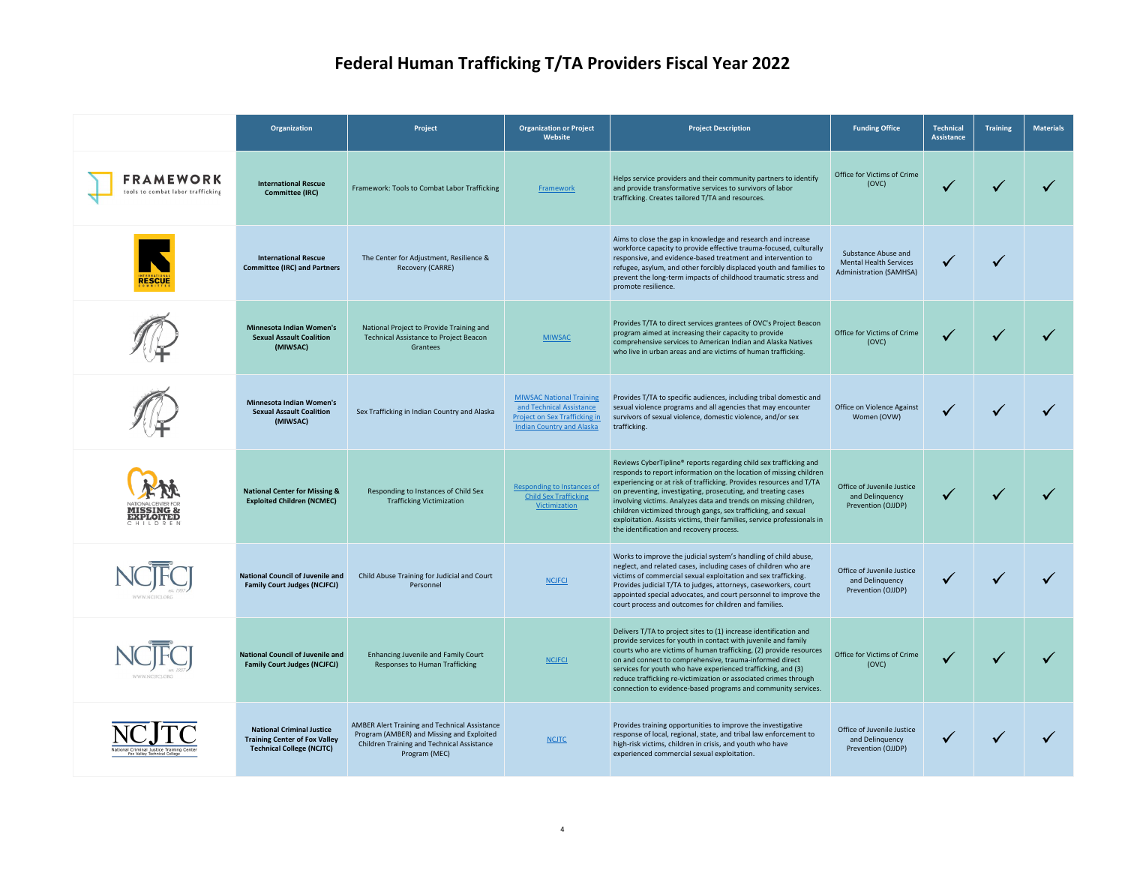|                                                                           | Organization                                                                                                 | Project                                                                                                                                                          | <b>Organization or Project</b><br>Website                                                                                               | <b>Project Description</b>                                                                                                                                                                                                                                                                                                                                                                                                                                                                                                                   | <b>Funding Office</b>                                                                  | <b>Technical</b><br>Assistance | <b>Training</b> | <b>Materials</b> |
|---------------------------------------------------------------------------|--------------------------------------------------------------------------------------------------------------|------------------------------------------------------------------------------------------------------------------------------------------------------------------|-----------------------------------------------------------------------------------------------------------------------------------------|----------------------------------------------------------------------------------------------------------------------------------------------------------------------------------------------------------------------------------------------------------------------------------------------------------------------------------------------------------------------------------------------------------------------------------------------------------------------------------------------------------------------------------------------|----------------------------------------------------------------------------------------|--------------------------------|-----------------|------------------|
| <b>FRAMEWORK</b><br>tools to combat labor trafficking                     | <b>International Rescue</b><br><b>Committee (IRC)</b>                                                        | Framework: Tools to Combat Labor Trafficking                                                                                                                     | <b>Framework</b>                                                                                                                        | Helps service providers and their community partners to identify<br>and provide transformative services to survivors of labor<br>trafficking. Creates tailored T/TA and resources.                                                                                                                                                                                                                                                                                                                                                           | Office for Victims of Crime<br>(OVC)                                                   |                                |                 |                  |
| <b>RESCUE</b>                                                             | <b>International Rescue</b><br><b>Committee (IRC) and Partners</b>                                           | The Center for Adjustment, Resilience &<br>Recovery (CARRE)                                                                                                      |                                                                                                                                         | Aims to close the gap in knowledge and research and increase<br>workforce capacity to provide effective trauma-focused, culturally<br>responsive, and evidence-based treatment and intervention to<br>refugee, asylum, and other forcibly displaced youth and families to<br>prevent the long-term impacts of childhood traumatic stress and<br>promote resilience.                                                                                                                                                                          | Substance Abuse and<br><b>Mental Health Services</b><br><b>Administration (SAMHSA)</b> |                                |                 |                  |
|                                                                           | <b>Minnesota Indian Women's</b><br><b>Sexual Assault Coalition</b><br>(MIWSAC)                               | National Project to Provide Training and<br><b>Technical Assistance to Project Beacon</b><br>Grantees                                                            | <b>MIWSAC</b>                                                                                                                           | Provides T/TA to direct services grantees of OVC's Project Beacon<br>program aimed at increasing their capacity to provide<br>comprehensive services to American Indian and Alaska Natives<br>who live in urban areas and are victims of human trafficking.                                                                                                                                                                                                                                                                                  | Office for Victims of Crime<br>(OVC)                                                   |                                |                 |                  |
|                                                                           | <b>Minnesota Indian Women's</b><br><b>Sexual Assault Coalition</b><br>(MIWSAC)                               | Sex Trafficking in Indian Country and Alaska                                                                                                                     | <b>MIWSAC National Training</b><br>and Technical Assistance<br><b>Project on Sex Trafficking in</b><br><b>Indian Country and Alaska</b> | Provides T/TA to specific audiences, including tribal domestic and<br>sexual violence programs and all agencies that may encounter<br>survivors of sexual violence, domestic violence, and/or sex<br>trafficking.                                                                                                                                                                                                                                                                                                                            | Office on Violence Against<br>Women (OVW)                                              |                                |                 |                  |
| VATIONAL CENTER FOI<br><b>MISSING &amp; EXPLOITED</b>                     | <b>National Center for Missing &amp;</b><br><b>Exploited Children (NCMEC)</b>                                | Responding to Instances of Child Sex<br><b>Trafficking Victimization</b>                                                                                         | <b>Responding to Instances of</b><br><b>Child Sex Trafficking</b><br><b>Victimization</b>                                               | Reviews CyberTipline® reports regarding child sex trafficking and<br>responds to report information on the location of missing children<br>experiencing or at risk of trafficking. Provides resources and T/TA<br>on preventing, investigating, prosecuting, and treating cases<br>involving victims. Analyzes data and trends on missing children,<br>children victimized through gangs, sex trafficking, and sexual<br>exploitation. Assists victims, their families, service professionals in<br>the identification and recovery process. | Office of Juvenile Justice<br>and Delinquency<br>Prevention (OJJDP)                    |                                |                 |                  |
|                                                                           | <b>National Council of Juvenile and</b><br><b>Family Court Judges (NCJFCJ)</b>                               | Child Abuse Training for Judicial and Court<br>Personnel                                                                                                         | <b>NCJFCJ</b>                                                                                                                           | Works to improve the judicial system's handling of child abuse,<br>neglect, and related cases, including cases of children who are<br>victims of commercial sexual exploitation and sex trafficking.<br>Provides judicial T/TA to judges, attorneys, caseworkers, court<br>appointed special advocates, and court personnel to improve the<br>court process and outcomes for children and families.                                                                                                                                          | Office of Juvenile Justice<br>and Delinquency<br>Prevention (OJJDP)                    |                                |                 |                  |
| WWW.NCIFCLOR                                                              | <b>National Council of Juvenile and</b><br><b>Family Court Judges (NCJFCJ)</b>                               | Enhancing Juvenile and Family Court<br><b>Responses to Human Trafficking</b>                                                                                     | <b>NCJFCJ</b>                                                                                                                           | Delivers T/TA to project sites to (1) increase identification and<br>provide services for youth in contact with juvenile and family<br>courts who are victims of human trafficking, (2) provide resources<br>on and connect to comprehensive, trauma-informed direct<br>services for youth who have experienced trafficking, and (3)<br>reduce trafficking re-victimization or associated crimes through<br>connection to evidence-based programs and community services.                                                                    | Office for Victims of Crime<br>(OVC)                                                   |                                |                 |                  |
| National Criminal Justice Training Center<br>Fox Valley Technical College | <b>National Criminal Justice</b><br><b>Training Center of Fox Valley</b><br><b>Technical College (NCJTC)</b> | AMBER Alert Training and Technical Assistance<br>Program (AMBER) and Missing and Exploited<br><b>Children Training and Technical Assistance</b><br>Program (MEC) | <b>NCJTC</b>                                                                                                                            | Provides training opportunities to improve the investigative<br>response of local, regional, state, and tribal law enforcement to<br>high-risk victims, children in crisis, and youth who have<br>experienced commercial sexual exploitation.                                                                                                                                                                                                                                                                                                | Office of Juvenile Justice<br>and Delinquency<br>Prevention (OJJDP)                    |                                |                 |                  |